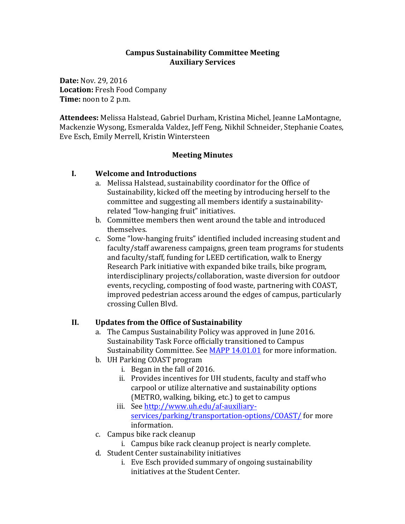#### **Campus Sustainability Committee Meeting Auxiliary Services**

**Date:** Nov. 29, 2016 Location: Fresh Food Company **Time:** noon to 2 p.m.

Attendees: Melissa Halstead, Gabriel Durham, Kristina Michel, Jeanne LaMontagne, Mackenzie Wysong, Esmeralda Valdez, Jeff Feng, Nikhil Schneider, Stephanie Coates, Eve Esch, Emily Merrell, Kristin Wintersteen

#### **Meeting Minutes**

### **I. Welcome and Introductions**

- a. Melissa Halstead, sustainability coordinator for the Office of Sustainability, kicked off the meeting by introducing herself to the committee and suggesting all members identify a sustainabilityrelated "low-hanging fruit" initiatives.
- b. Committee members then went around the table and introduced themselves.
- c. Some "low-hanging fruits" identified included increasing student and faculty/staff awareness campaigns, green team programs for students and faculty/staff, funding for LEED certification, walk to Energy Research Park initiative with expanded bike trails, bike program, interdisciplinary projects/collaboration, waste diversion for outdoor events, recycling, composting of food waste, partnering with COAST, improved pedestrian access around the edges of campus, particularly crossing Cullen Blvd.

#### **II.** Updates from the Office of Sustainability

- a. The Campus Sustainability Policy was approved in June 2016. Sustainability Task Force officially transitioned to Campus Sustainability Committee. See MAPP 14.01.01 for more information.
- b. UH Parking COAST program
	- i. Began in the fall of  $2016$ .
	- ii. Provides incentives for UH students, faculty and staff who carpool or utilize alternative and sustainability options (METRO, walking, biking, etc.) to get to campus
	- iii. See http://www.uh.edu/af-auxiliaryservices/parking/transportation-options/COAST/ for more information.
- c. Campus bike rack cleanup
	- i. Campus bike rack cleanup project is nearly complete.
- d. Student Center sustainability initiatives
	- i. Eve Esch provided summary of ongoing sustainability initiatives at the Student Center.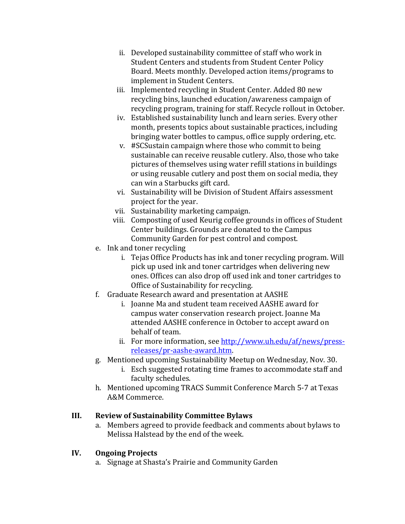- ii. Developed sustainability committee of staff who work in Student Centers and students from Student Center Policy Board. Meets monthly. Developed action items/programs to implement in Student Centers.
- iii. Implemented recycling in Student Center. Added 80 new recycling bins, launched education/awareness campaign of recycling program, training for staff. Recycle rollout in October.
- iv. Established sustainability lunch and learn series. Every other month, presents topics about sustainable practices, including bringing water bottles to campus, office supply ordering, etc.
- v. #SCSustain campaign where those who commit to being sustainable can receive reusable cutlery. Also, those who take pictures of themselves using water refill stations in buildings or using reusable cutlery and post them on social media, they can win a Starbucks gift card.
- vi. Sustainability will be Division of Student Affairs assessment project for the year.
- vii. Sustainability marketing campaign.
- viii. Composting of used Keurig coffee grounds in offices of Student Center buildings. Grounds are donated to the Campus Community Garden for pest control and compost.
- e. Ink and toner recycling
	- i. Tejas Office Products has ink and toner recycling program. Will pick up used ink and toner cartridges when delivering new ones. Offices can also drop off used ink and toner cartridges to Office of Sustainability for recycling.
- f. Graduate Research award and presentation at AASHE
	- i. Joanne Ma and student team received AASHE award for campus water conservation research project. Joanne Ma attended AASHE conference in October to accept award on behalf of team.
	- ii. For more information, see http://www.uh.edu/af/news/pressreleases/pr-aashe-award.htm.
- g. Mentioned upcoming Sustainability Meetup on Wednesday, Nov. 30.
	- i. Esch suggested rotating time frames to accommodate staff and faculty schedules.
- h. Mentioned upcoming TRACS Summit Conference March 5-7 at Texas A&M Commerce.

## **III. Review of Sustainability Committee Bylaws**

a. Members agreed to provide feedback and comments about bylaws to Melissa Halstead by the end of the week.

## **IV. Ongoing Projects**

a. Signage at Shasta's Prairie and Community Garden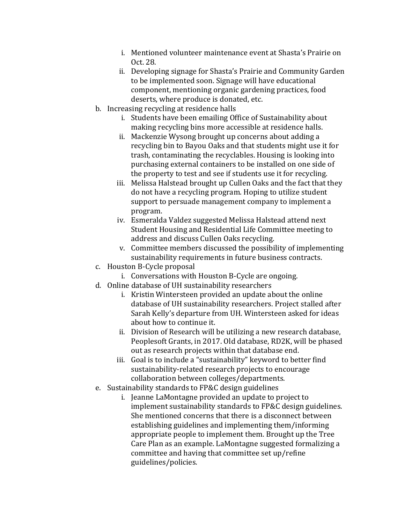- i. Mentioned volunteer maintenance event at Shasta's Prairie on Oct. 28.
- ii. Developing signage for Shasta's Prairie and Community Garden to be implemented soon. Signage will have educational component, mentioning organic gardening practices, food deserts, where produce is donated, etc.
- b. Increasing recycling at residence halls
	- i. Students have been emailing Office of Sustainability about making recycling bins more accessible at residence halls.
	- ii. Mackenzie Wysong brought up concerns about adding a recycling bin to Bayou Oaks and that students might use it for trash, contaminating the recyclables. Housing is looking into purchasing external containers to be installed on one side of the property to test and see if students use it for recycling.
	- iii. Melissa Halstead brought up Cullen Oaks and the fact that they do not have a recycling program. Hoping to utilize student support to persuade management company to implement a program.
	- iv. Esmeralda Valdez suggested Melissa Halstead attend next Student Housing and Residential Life Committee meeting to address and discuss Cullen Oaks recycling.
	- v. Committee members discussed the possibility of implementing sustainability requirements in future business contracts.
- c. Houston B-Cycle proposal
	- i. Conversations with Houston B-Cycle are ongoing.
- d. Online database of UH sustainability researchers
	- i. Kristin Wintersteen provided an update about the online database of UH sustainability researchers. Project stalled after Sarah Kelly's departure from UH. Wintersteen asked for ideas about how to continue it.
	- ii. Division of Research will be utilizing a new research database, Peoplesoft Grants, in 2017. Old database, RD2K, will be phased out as research projects within that database end.
	- iii. Goal is to include a "sustainability" keyword to better find sustainability-related research projects to encourage collaboration between colleges/departments.
- e. Sustainability standards to FP&C design guidelines
	- i. Jeanne LaMontagne provided an update to project to implement sustainability standards to FP&C design guidelines. She mentioned concerns that there is a disconnect between establishing guidelines and implementing them/informing appropriate people to implement them. Brought up the Tree Care Plan as an example. LaMontagne suggested formalizing a committee and having that committee set up/refine guidelines/policies.